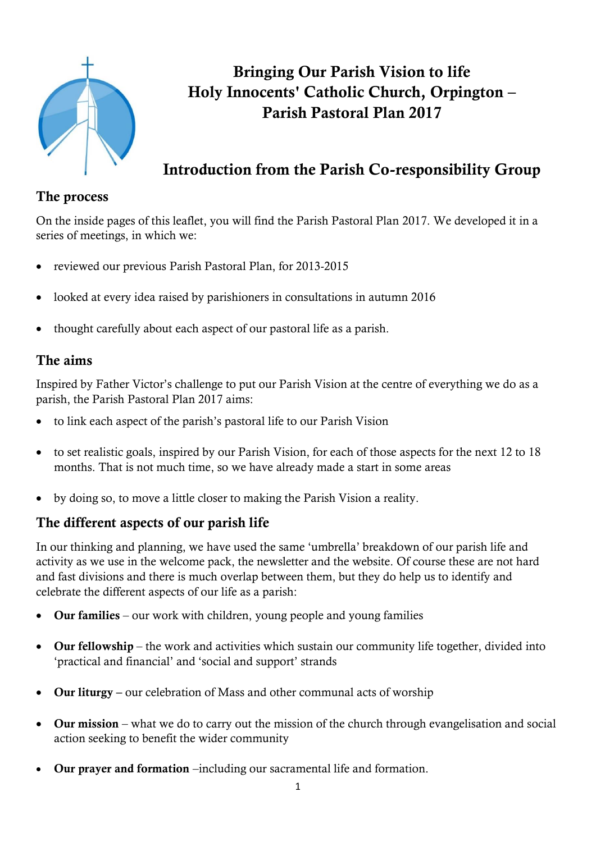

# **Bringing Our Parish Vision to life Holy Innocents' Catholic Church, Orpington – Parish Pastoral Plan 2017**

# **Introduction from the Parish Co-responsibility Group**

### **The process**

On the inside pages of this leaflet, you will find the Parish Pastoral Plan 2017. We developed it in a series of meetings, in which we:

- reviewed our previous Parish Pastoral Plan, for 2013-2015
- looked at every idea raised by parishioners in consultations in autumn 2016
- thought carefully about each aspect of our pastoral life as a parish.

### **The aims**

Inspired by Father Victor's challenge to put our Parish Vision at the centre of everything we do as a parish, the Parish Pastoral Plan 2017 aims:

- to link each aspect of the parish's pastoral life to our Parish Vision
- to set realistic goals, inspired by our Parish Vision, for each of those aspects for the next 12 to 18 months. That is not much time, so we have already made a start in some areas
- by doing so, to move a little closer to making the Parish Vision a reality.

## **The different aspects of our parish life**

In our thinking and planning, we have used the same 'umbrella' breakdown of our parish life and activity as we use in the welcome pack, the newsletter and the website. Of course these are not hard and fast divisions and there is much overlap between them, but they do help us to identify and celebrate the different aspects of our life as a parish:

- **Our families** our work with children, young people and young families
- **Our fellowship** the work and activities which sustain our community life together, divided into 'practical and financial' and 'social and support' strands
- **Our liturgy –** our celebration of Mass and other communal acts of worship
- **Our mission** what we do to carry out the mission of the church through evangelisation and social action seeking to benefit the wider community
- **Our prayer and formation** –including our sacramental life and formation.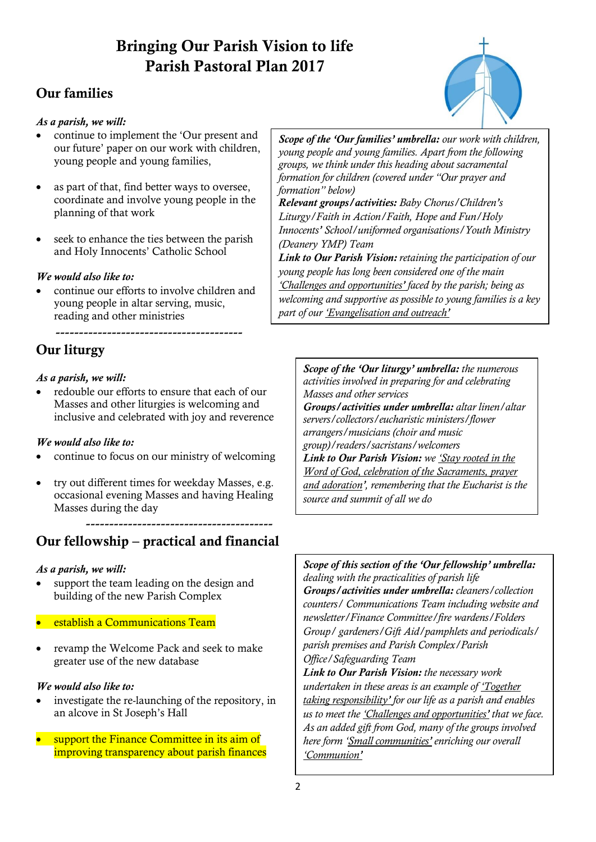# **Bringing Our Parish Vision to life Parish Pastoral Plan 2017**

## **Our families**

#### *As a parish, we will:*

- continue to implement the 'Our present and our future' paper on our work with children, young people and young families,
- as part of that, find better ways to oversee, coordinate and involve young people in the planning of that work
- seek to enhance the ties between the parish and Holy Innocents' Catholic School

#### *We would also like to:*

 continue our efforts to involve children and young people in altar serving, music, reading and other ministries

----------------------------------------

## **Our liturgy**

#### *As a parish, we will:*

 redouble our efforts to ensure that each of our Masses and other liturgies is welcoming and inclusive and celebrated with joy and reverence

#### *We would also like to:*

- continue to focus on our ministry of welcoming
- try out different times for weekday Masses, e.g. occasional evening Masses and having Healing Masses during the day

## **Our fellowship – practical and financial**

----------------------------------------

#### *As a parish, we will:*

- support the team leading on the design and building of the new Parish Complex
- establish a Communications Team
- revamp the Welcome Pack and seek to make greater use of the new database

#### *We would also like to:*

- investigate the re-launching of the repository, in an alcove in St Joseph's Hall
- support the Finance Committee in its aim of improving transparency about parish finances

*Scope of the 'Our families' umbrella: our work with children, young people and young families. Apart from the following groups, we think under this heading about sacramental formation for children (covered under "Our prayer and formation" below)* 

*Relevant groups/activities: Baby Chorus/Children's Liturgy/Faith in Action/Faith, Hope and Fun/Holy Innocents' School/uniformed organisations/Youth Ministry (Deanery YMP) Team* 

*Link to Our Parish Vision: retaining the participation of our young people has long been considered one of the main 'Challenges and opportunities' faced by the parish; being as welcoming and supportive as possible to young families is a key part of our 'Evangelisation and outreach'*

*Scope of the 'Our liturgy' umbrella: the numerous activities involved in preparing for and celebrating Masses and other services Groups/activities under umbrella: altar linen/altar servers/collectors/eucharistic ministers/flower arrangers/musicians (choir and music group)/readers/sacristans/welcomers Link to Our Parish Vision: we 'Stay rooted in the Word of God, celebration of the Sacraments, prayer and adoration', remembering that the Eucharist is the source and summit of all we do*

*Scope of this section of the 'Our fellowship' umbrella: dealing with the practicalities of parish life Groups/activities under umbrella: cleaners/collection counters/ Communications Team including website and newsletter/Finance Committee/fire wardens/Folders Group/ gardeners/Gift Aid/pamphlets and periodicals/ parish premises and Parish Complex/Parish Office/Safeguarding Team* 

*Link to Our Parish Vision: the necessary work undertaken in these areas is an example of 'Together taking responsibility' for our life as a parish and enables us to meet the 'Challenges and opportunities' that we face. As an added gift from God, many of the groups involved here form 'Small communities' enriching our overall 'Communion'*

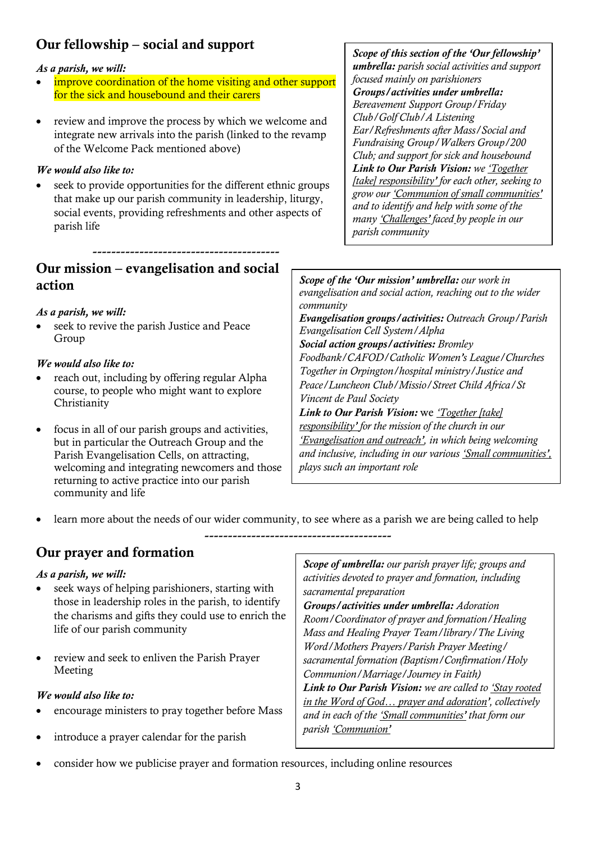## **Our fellowship – social and support**

#### *As a parish, we will:*

- improve coordination of the home visiting and other support for the sick and housebound and their carers
- review and improve the process by which we welcome and integrate new arrivals into the parish (linked to the revamp of the Welcome Pack mentioned above)

#### *We would also like to:*

 seek to provide opportunities for the different ethnic groups that make up our parish community in leadership, liturgy, social events, providing refreshments and other aspects of parish life

*Scope of this section of the 'Our fellowship' umbrella: parish social activities and support focused mainly on parishioners Groups/activities under umbrella: Bereavement Support Group/Friday Club/Golf Club/A Listening Ear/Refreshments after Mass/Social and Fundraising Group/Walkers Group/200 Club; and support for sick and housebound Link to Our Parish Vision: we 'Together [take] responsibility' for each other, seeking to grow our 'Communion of small communities' and to identify and help with some of the many 'Challenges' faced by people in our parish community*

## ---------------------------------------- **Our mission – evangelisation and social action**

#### *As a parish, we will:*

 seek to revive the parish Justice and Peace Group

#### *We would also like to:*

- reach out, including by offering regular Alpha course, to people who might want to explore Christianity
- focus in all of our parish groups and activities, but in particular the Outreach Group and the Parish Evangelisation Cells, on attracting, welcoming and integrating newcomers and those returning to active practice into our parish community and life

*Scope of the 'Our mission' umbrella: our work in evangelisation and social action, reaching out to the wider community Evangelisation groups/activities: Outreach Group/Parish Evangelisation Cell System/Alpha Social action groups/activities: Bromley Foodbank/CAFOD/Catholic Women's League/Churches Together in Orpington/hospital ministry/Justice and Peace/Luncheon Club/Missio/Street Child Africa/St Vincent de Paul Society Link to Our Parish Vision:* we *'Together [take] responsibility' for the mission of the church in our 'Evangelisation and outreach', in which being welcoming* 

*and inclusive, including in our various 'Small communities', plays such an important role*

learn more about the needs of our wider community, to see where as a parish we are being called to help

----------------------------------------

## **Our prayer and formation**

#### *As a parish, we will:*

- seek ways of helping parishioners, starting with those in leadership roles in the parish, to identify the charisms and gifts they could use to enrich the life of our parish community
- review and seek to enliven the Parish Prayer Meeting

#### *We would also like to:*

- encourage ministers to pray together before Mass
- introduce a prayer calendar for the parish

*Scope of umbrella: our parish prayer life; groups and activities devoted to prayer and formation, including sacramental preparation*

*Groups/activities under umbrella: Adoration Room/Coordinator of prayer and formation/Healing Mass and Healing Prayer Team/library/The Living Word/Mothers Prayers/Parish Prayer Meeting/ sacramental formation (Baptism/Confirmation/Holy Communion/Marriage/Journey in Faith) Link to Our Parish Vision: we are called to 'Stay rooted in the Word of God… prayer and adoration', collectively and in each of the 'Small communities' that form our parish 'Communion'*

consider how we publicise prayer and formation resources, including online resources